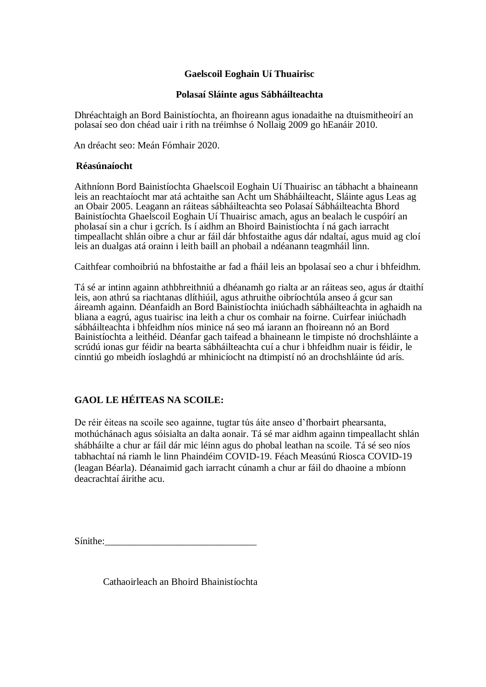## **Gaelscoil Eoghain Uí Thuairisc**

### **Polasaí Sláinte agus Sábháilteachta**

Dhréachtaigh an Bord Bainistíochta, an fhoireann agus ionadaithe na dtuismitheoirí an polasaí seo don chéad uair i rith na tréimhse ó Nollaig 2009 go hEanáir 2010.

An dréacht seo: Meán Fómhair 2020.

### **Réasúnaíocht**

Aithníonn Bord Bainistíochta Ghaelscoil Eoghain Uí Thuairisc an tábhacht a bhaineann leis an reachtaíocht mar atá achtaithe san Acht um Shábháilteacht, Sláinte agus Leas ag an Obair 2005. Leagann an ráiteas sábháilteachta seo Polasaí Sábháilteachta Bhord Bainistíochta Ghaelscoil Eoghain Uí Thuairisc amach, agus an bealach le cuspóirí an pholasaí sin a chur i gcrích. Is í aidhm an Bhoird Bainistíochta í ná gach iarracht timpeallacht shlán oibre a chur ar fáil dár bhfostaithe agus dár ndaltaí, agus muid ag cloí leis an dualgas atá orainn i leith baill an phobail a ndéanann teagmháil linn.

Caithfear comhoibriú na bhfostaithe ar fad a fháil leis an bpolasaí seo a chur i bhfeidhm.

Tá sé ar intinn againn athbhreithniú a dhéanamh go rialta ar an ráiteas seo, agus ár dtaithí leis, aon athrú sa riachtanas dlíthiúil, agus athruithe oibríochtúla anseo á gcur san áireamh againn. Déanfaidh an Bord Bainistíochta iniúchadh sábháilteachta in aghaidh na bliana a eagrú, agus tuairisc ina leith a chur os comhair na foirne. Cuirfear iniúchadh sábháilteachta i bhfeidhm níos minice ná seo má iarann an fhoireann nó an Bord Bainistíochta a leithéid. Déanfar gach taifead a bhaineann le timpiste nó drochshláinte a scrúdú ionas gur féidir na bearta sábháilteachta cuí a chur i bhfeidhm nuair is féidir, le cinntiú go mbeidh íoslaghdú ar mhinicíocht na dtimpistí nó an drochshláinte úd arís.

# **GAOL LE HÉITEAS NA SCOILE:**

De réir éiteas na scoile seo againne, tugtar tús áite anseo d'fhorbairt phearsanta, mothúchánach agus sóisialta an dalta aonair. Tá sé mar aidhm againn timpeallacht shlán shábháilte a chur ar fáil dár mic léinn agus do phobal leathan na scoile. Tá sé seo níos tabhachtaí ná riamh le linn Phaindéim COVID-19. Féach Measúnú Riosca COVID-19 (leagan Béarla). Déanaimid gach iarracht cúnamh a chur ar fáil do dhaoine a mbíonn deacrachtaí áirithe acu.

Sínithe:\_\_\_\_\_\_\_\_\_\_\_\_\_\_\_\_\_\_\_\_\_\_\_\_\_\_\_\_\_\_\_

Cathaoirleach an Bhoird Bhainistíochta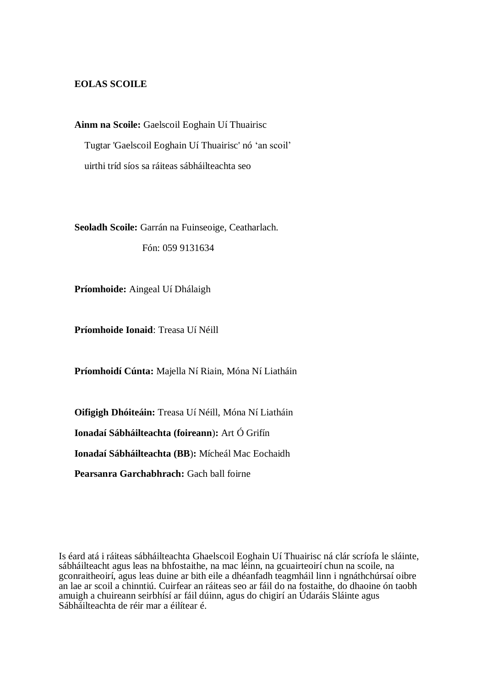### **EOLAS SCOILE**

**Ainm na Scoile:** Gaelscoil Eoghain Uí Thuairisc Tugtar 'Gaelscoil Eoghain Uí Thuairisc' nó 'an scoil' uirthi tríd síos sa ráiteas sábháilteachta seo

**Seoladh Scoile:** Garrán na Fuinseoige, Ceatharlach.

Fón: 059 9131634

**Príomhoide:** Aingeal Uí Dhálaigh

**Príomhoide Ionaid**: Treasa Uí Néill

**Príomhoidí Cúnta:** Majella Ní Riain, Móna Ní Liatháin

**Oifigigh Dhóiteáin:** Treasa Uí Néill, Móna Ní Liatháin

**Ionadaí Sábháilteachta (foireann**)**:** Art Ó Grifín

**Ionadaí Sábháilteachta (BB**)**:** Mícheál Mac Eochaidh

**Pearsanra Garchabhrach:** Gach ball foirne

Is éard atá i ráiteas sábháilteachta Ghaelscoil Eoghain Uí Thuairisc ná clár scríofa le sláinte, sábháilteacht agus leas na bhfostaithe, na mac léinn, na gcuairteoirí chun na scoile, na gconraitheoirí, agus leas duine ar bith eile a dhéanfadh teagmháil linn i ngnáthchúrsaí oibre an lae ar scoil a chinntiú. Cuirfear an ráiteas seo ar fáil do na fostaithe, do dhaoine ón taobh amuigh a chuireann seirbhísí ar fáil dúinn, agus do chigirí an Údaráis Sláinte agus Sábháilteachta de réir mar a éilítear é.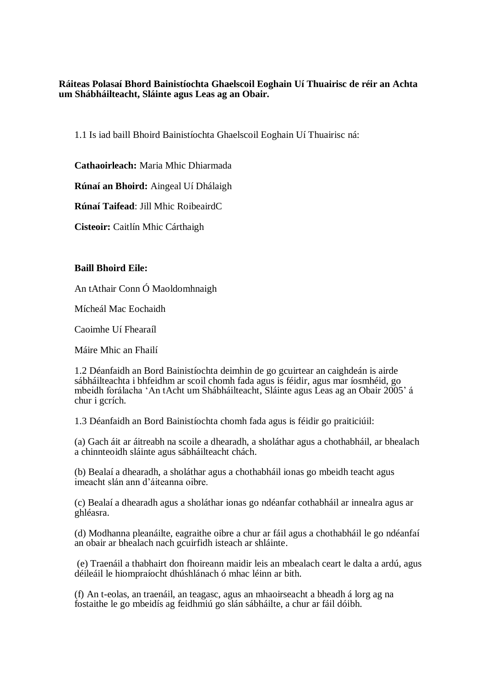**Ráiteas Polasaí Bhord Bainistíochta Ghaelscoil Eoghain Uí Thuairisc de réir an Achta um Shábháilteacht, Sláinte agus Leas ag an Obair.**

1.1 Is iad baill Bhoird Bainistíochta Ghaelscoil Eoghain Uí Thuairisc ná:

**Cathaoirleach:** Maria Mhic Dhiarmada

**Rúnaí an Bhoird:** Aingeal Uí Dhálaigh

**Rúnaí Taifead**: Jill Mhic RoibeairdC

**Cisteoir:** Caitlín Mhic Cárthaigh

## **Baill Bhoird Eile:**

An tAthair Conn Ó Maoldomhnaigh

Mícheál Mac Eochaidh

Caoimhe Uí Fhearaíl

Máire Mhic an Fhailí

1.2 Déanfaidh an Bord Bainistíochta deimhin de go gcuirtear an caighdeán is airde sábháilteachta i bhfeidhm ar scoil chomh fada agus is féidir, agus mar íosmhéid, go mbeidh forálacha 'An tAcht um Shábháilteacht, Sláinte agus Leas ag an Obair 2005' á chur i gcrích.

1.3 Déanfaidh an Bord Bainistíochta chomh fada agus is féidir go praiticiúil:

(a) Gach áit ar áitreabh na scoile a dhearadh, a sholáthar agus a chothabháil, ar bhealach a chinnteoidh sláinte agus sábháilteacht chách.

(b) Bealaí a dhearadh, a sholáthar agus a chothabháil ionas go mbeidh teacht agus imeacht slán ann d'áiteanna oibre.

(c) Bealaí a dhearadh agus a sholáthar ionas go ndéanfar cothabháil ar innealra agus ar ghléasra.

(d) Modhanna pleanáilte, eagraithe oibre a chur ar fáil agus a chothabháil le go ndéanfaí an obair ar bhealach nach gcuirfidh isteach ar shláinte.

(e) Traenáil a thabhairt don fhoireann maidir leis an mbealach ceart le dalta a ardú, agus déileáil le hiompraíocht dhúshlánach ó mhac léinn ar bith.

(f) An t-eolas, an traenáil, an teagasc, agus an mhaoirseacht a bheadh á lorg ag na fostaithe le go mbeidís ag feidhmiú go slán sábháilte, a chur ar fáil dóibh.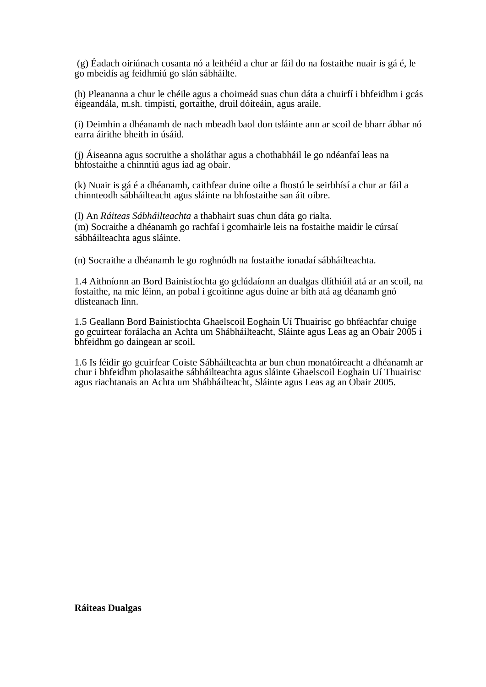(g) Éadach oiriúnach cosanta nó a leithéid a chur ar fáil do na fostaithe nuair is gá é, le go mbeidís ag feidhmiú go slán sábháilte.

(h) Pleananna a chur le chéile agus a choimeád suas chun dáta a chuirfí i bhfeidhm i gcás éigeandála, m.sh. timpistí, gortaithe, druil dóiteáin, agus araile.

(i) Deimhin a dhéanamh de nach mbeadh baol don tsláinte ann ar scoil de bharr ábhar nó earra áirithe bheith in úsáid.

(j) Áiseanna agus socruithe a sholáthar agus a chothabháil le go ndéanfaí leas na bhfostaithe a chinntiú agus iad ag obair.

(k) Nuair is gá é a dhéanamh, caithfear duine oilte a fhostú le seirbhísí a chur ar fáil a chinnteodh sábháilteacht agus sláinte na bhfostaithe san áit oibre.

(l) An *Ráiteas Sábháilteachta* a thabhairt suas chun dáta go rialta. (m) Socraithe a dhéanamh go rachfaí i gcomhairle leis na fostaithe maidir le cúrsaí sábháilteachta agus sláinte.

(n) Socraithe a dhéanamh le go roghnódh na fostaithe ionadaí sábháilteachta.

1.4 Aithníonn an Bord Bainistíochta go gclúdaíonn an dualgas dlíthiúil atá ar an scoil, na fostaithe, na mic léinn, an pobal i gcoitinne agus duine ar bith atá ag déanamh gnó dlisteanach linn.

1.5 Geallann Bord Bainistíochta Ghaelscoil Eoghain Uí Thuairisc go bhféachfar chuige go gcuirtear forálacha an Achta um Shábháilteacht, Sláinte agus Leas ag an Obair 2005 i bhfeidhm go daingean ar scoil.

1.6 Is féidir go gcuirfear Coiste Sábháilteachta ar bun chun monatóireacht a dhéanamh ar chur i bhfeidhm pholasaithe sábháilteachta agus sláinte Ghaelscoil Eoghain Uí Thuairisc agus riachtanais an Achta um Shábháilteacht, Sláinte agus Leas ag an Obair 2005.

**Ráiteas Dualgas**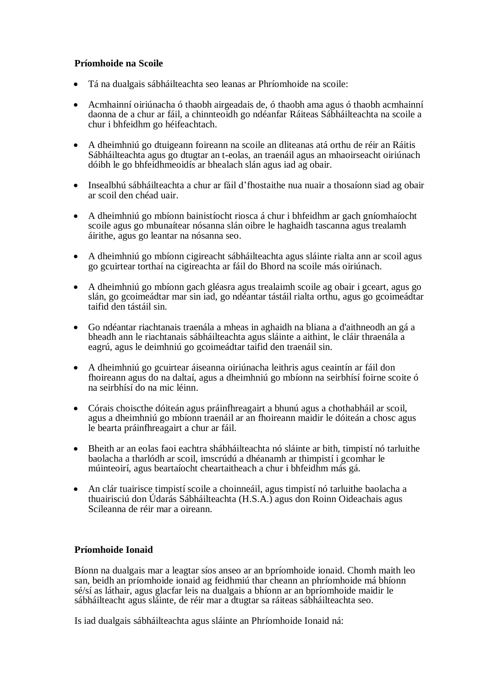## **Príomhoide na Scoile**

- Tá na dualgais sábháilteachta seo leanas ar Phríomhoide na scoile:
- Acmhainní oiriúnacha ó thaobh airgeadais de, ó thaobh ama agus ó thaobh acmhainní daonna de a chur ar fáil, a chinnteoidh go ndéanfar Ráiteas Sábháilteachta na scoile a chur i bhfeidhm go héifeachtach.
- A dheimhniú go dtuigeann foireann na scoile an dliteanas atá orthu de réir an Ráitis Sábháilteachta agus go dtugtar an t-eolas, an traenáil agus an mhaoirseacht oiriúnach dóibh le go bhfeidhmeoidís ar bhealach slán agus iad ag obair.
- Insealbhú sábháilteachta a chur ar fáil d'fhostaithe nua nuair a thosaíonn siad ag obair ar scoil den chéad uair.
- A dheimhniú go mbíonn bainistíocht riosca á chur i bhfeidhm ar gach gníomhaíocht scoile agus go mbunaítear nósanna slán oibre le haghaidh tascanna agus trealamh áirithe, agus go leantar na nósanna seo.
- A dheimhniú go mbíonn cigireacht sábháilteachta agus sláinte rialta ann ar scoil agus go gcuirtear torthaí na cigireachta ar fáil do Bhord na scoile más oiriúnach.
- A dheimhniú go mbíonn gach gléasra agus trealaimh scoile ag obair i gceart, agus go slán, go gcoimeádtar mar sin iad, go ndéantar tástáil rialta orthu, agus go gcoimeádtar taifid den tástáil sin.
- Go ndéantar riachtanais traenála a mheas in aghaidh na bliana a d'aithneodh an gá a bheadh ann le riachtanais sábháilteachta agus sláinte a aithint, le cláir thraenála a eagrú, agus le deimhniú go gcoimeádtar taifid den traenáil sin.
- A dheimhniú go gcuirtear áiseanna oiriúnacha leithris agus ceaintín ar fáil don fhoireann agus do na daltaí, agus a dheimhniú go mbíonn na seirbhísí foirne scoite ó na seirbhísí do na mic léinn.
- Córais choiscthe dóiteán agus práinfhreagairt a bhunú agus a chothabháil ar scoil, agus a dheimhniú go mbíonn traenáil ar an fhoireann maidir le dóiteán a chosc agus le bearta práinfhreagairt a chur ar fáil.
- Bheith ar an eolas faoi eachtra shábháilteachta nó sláinte ar bith, timpistí nó tarluithe baolacha a tharlódh ar scoil, imscrúdú a dhéanamh ar thimpistí i gcomhar le múinteoirí, agus beartaíocht cheartaitheach a chur i bhfeidhm más gá.
- An clár tuairisce timpistí scoile a choinneáil, agus timpistí nó tarluithe baolacha a thuairisciú don Údarás Sábháilteachta (H.S.A.) agus don Roinn Oideachais agus Scileanna de réir mar a oireann.

### **Príomhoide Ionaid**

Bíonn na dualgais mar a leagtar síos anseo ar an bpríomhoide ionaid. Chomh maith leo san, beidh an príomhoide ionaid ag feidhmiú thar cheann an phríomhoide má bhíonn sé/sí as láthair, agus glacfar leis na dualgais a bhíonn ar an bpríomhoide maidir le sábháilteacht agus sláinte, de réir mar a dtugtar sa ráiteas sábháilteachta seo.

Is iad dualgais sábháilteachta agus sláinte an Phríomhoide Ionaid ná: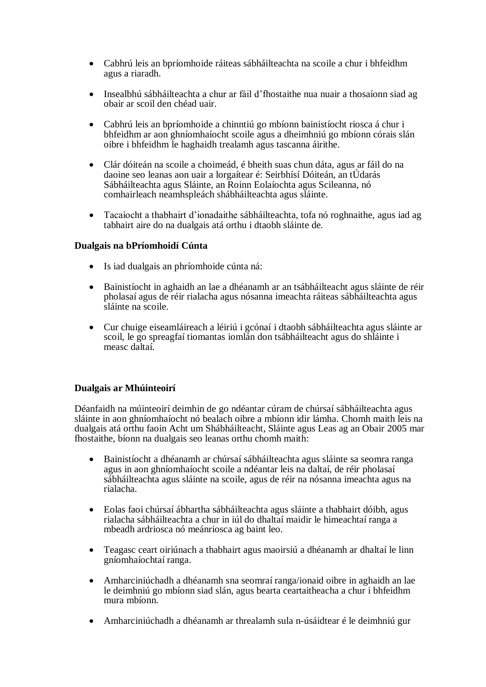- Cabhrú leis an bpríomhoide ráiteas sábháilteachta na scoile a chur i bhfeidhm agus a riaradh.
- Insealbhú sábháilteachta a chur ar fáil d'fhostaithe nua nuair a thosaíonn siad ag obair ar scoil den chéad uair.
- Cabhrú leis an bpríomhoide a chinntiú go mbíonn bainistíocht riosca á chur i bhfeidhm ar aon ghníomhaíocht scoile agus a dheimhniú go mbíonn córais slán oibre i bhfeidhm le haghaidh trealamh agus tascanna áirithe.
- Clár dóiteán na scoile a choimeád, é bheith suas chun dáta, agus ar fáil do na daoine seo leanas aon uair a lorgaítear é: Seirbhísí Dóiteán, an tÚdarás Sábháilteachta agus Sláinte, an Roinn Eolaíochta agus Scileanna, nó comhairleach neamhspleách shábháilteachta agus sláinte.
- Tacaíocht a thabhairt d'ionadaithe sábháilteachta, tofa nó roghnaithe, agus iad ag tabhairt aire do na dualgais atá orthu i dtaobh sláinte de.

### **Dualgais na bPríomhoidí Cúnta**

- Is iad dualgais an phríomhoide cúnta ná:
- Bainistíocht in aghaidh an lae a dhéanamh ar an tsábháilteacht agus sláinte de réir pholasaí agus de réir rialacha agus nósanna imeachta ráiteas sábháilteachta agus sláinte na scoile.
- Cur chuige eiseamláireach a léiriú i gcónaí i dtaobh sábháilteachta agus sláinte ar scoil, le go spreagfaí tiomantas iomlán don tsábháilteacht agus do shláinte i measc daltaí.

## **Dualgais ar Mhúinteoirí**

Déanfaidh na múinteoirí deimhin de go ndéantar cúram de chúrsaí sábháilteachta agus sláinte in aon ghníomhaíocht nó bealach oibre a mbíonn idir lámha. Chomh maith leis na dualgais atá orthu faoin Acht um Shábháilteacht, Sláinte agus Leas ag an Obair 2005 mar fhostaithe, bíonn na dualgais seo leanas orthu chomh maith:

- Bainistíocht a dhéanamh ar chúrsaí sábháilteachta agus sláinte sa seomra ranga agus in aon ghníomhaíocht scoile a ndéantar leis na daltaí, de réir pholasaí sábháilteachta agus sláinte na scoile, agus de réir na nósanna imeachta agus na rialacha.
- Eolas faoi chúrsaí ábhartha sábháilteachta agus sláinte a thabhairt dóibh, agus rialacha sábháilteachta a chur in iúl do dhaltaí maidir le himeachtaí ranga a mbeadh ardriosca nó meánriosca ag baint leo.
- Teagasc ceart oiriúnach a thabhairt agus maoirsiú a dhéanamh ar dhaltaí le linn gníomhaíochtaí ranga.
- Amharciniúchadh a dhéanamh sna seomraí ranga/ionaid oibre in aghaidh an lae le deimhniú go mbíonn siad slán, agus bearta ceartaitheacha a chur i bhfeidhm mura mbíonn.
- Amharciniúchadh a dhéanamh ar threalamh sula n-úsáidtear é le deimhniú gur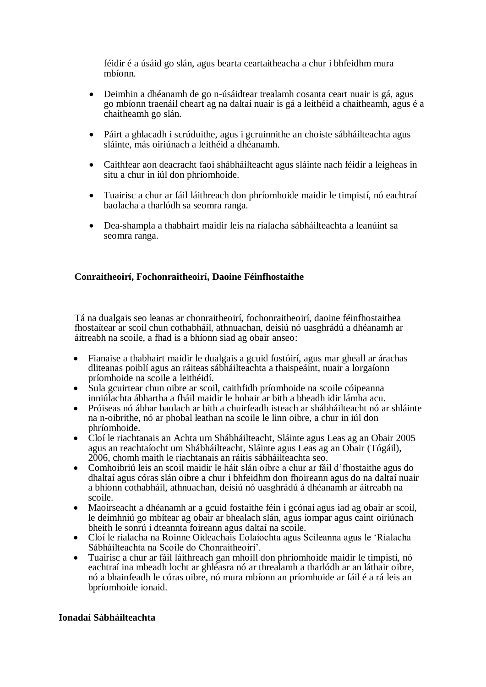féidir é a úsáid go slán, agus bearta ceartaitheacha a chur i bhfeidhm mura mbíonn.

- Deimhin a dhéanamh de go n-úsáidtear trealamh cosanta ceart nuair is gá, agus go mbíonn traenáil cheart ag na daltaí nuair is gá a leithéid a chaitheamh, agus é a chaitheamh go slán.
- Páirt a ghlacadh i scrúduithe, agus i gcruinnithe an choiste sábháilteachta agus sláinte, más oiriúnach a leithéid a dhéanamh.
- Caithfear aon deacracht faoi shábháilteacht agus sláinte nach féidir a leigheas in situ a chur in iúl don phríomhoide.
- Tuairisc a chur ar fáil láithreach don phríomhoide maidir le timpistí, nó eachtraí baolacha a tharlódh sa seomra ranga.
- Dea-shampla a thabhairt maidir leis na rialacha sábháilteachta a leanúint sa seomra ranga.

## **Conraitheoirí, Fochonraitheoirí, Daoine Féinfhostaithe**

Tá na dualgais seo leanas ar chonraitheoirí, fochonraitheoirí, daoine féinfhostaithea fhostaítear ar scoil chun cothabháil, athnuachan, deisiú nó uasghrádú a dhéanamh ar áitreabh na scoile, a fhad is a bhíonn siad ag obair anseo:

- Fianaise a thabhairt maidir le dualgais a gcuid fostóirí, agus mar gheall ar árachas dliteanas poiblí agus an ráiteas sábháilteachta a thaispeáint, nuair a lorgaíonn príomhoide na scoile a leithéidí.
- Sula gcuirtear chun oibre ar scoil, caithfidh príomhoide na scoile cóipeanna inniúlachta ábhartha a fháil maidir le hobair ar bith a bheadh idir lámha acu.
- Próiseas nó ábhar baolach ar bith a chuirfeadh isteach ar shábháilteacht nó ar shláinte na n-oibrithe, nó ar phobal leathan na scoile le linn oibre, a chur in iúl don phríomhoide.
- Cloí le riachtanais an Achta um Shábháilteacht, Sláinte agus Leas ag an Obair 2005 agus an reachtaíocht um Shábháilteacht, Sláinte agus Leas ag an Obair (Tógáil), 2006, chomh maith le riachtanais an ráitis sábháilteachta seo.
- Comhoibriú leis an scoil maidir le háit slán oibre a chur ar fáil d'fhostaithe agus do dhaltaí agus córas slán oibre a chur i bhfeidhm don fhoireann agus do na daltaí nuair a bhíonn cothabháil, athnuachan, deisiú nó uasghrádú á dhéanamh ar áitreabh na scoile.
- Maoirseacht a dhéanamh ar a gcuid fostaithe féin i gcónaí agus iad ag obair ar scoil, le deimhniú go mbítear ag obair ar bhealach slán, agus iompar agus caint oiriúnach bheith le sonrú i dteannta foireann agus daltaí na scoile.
- Cloí le rialacha na Roinne Oideachais Eolaíochta agus Scileanna agus le 'Rialacha Sábháilteachta na Scoile do Chonraitheoirí'.
- Tuairisc a chur ar fáil láithreach gan mhoill don phríomhoide maidir le timpistí, nó eachtraí ina mbeadh locht ar ghléasra nó ar threalamh a tharlódh ar an láthair oibre, nó a bhainfeadh le córas oibre, nó mura mbíonn an príomhoide ar fáil é a rá leis an bpríomhoide ionaid.

### **Ionadaí Sábháilteachta**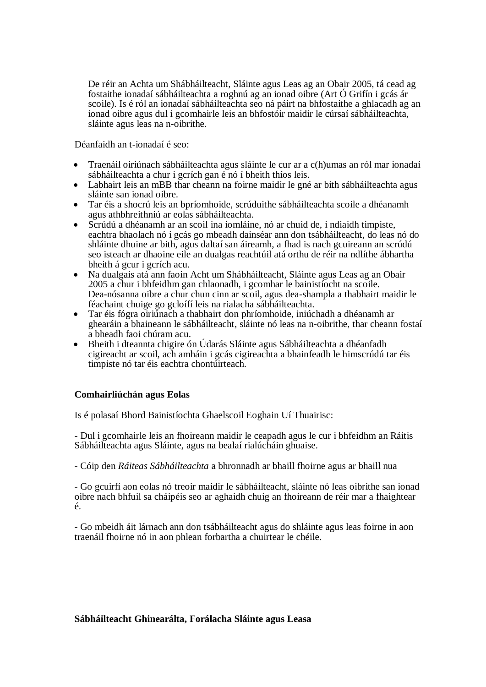De réir an Achta um Shábháilteacht, Sláinte agus Leas ag an Obair 2005, tá cead ag fostaithe ionadaí sábháilteachta a roghnú ag an ionad oibre (Art Ó Grifín i gcás ár scoile). Is é ról an ionadaí sábháilteachta seo ná páirt na bhfostaithe a ghlacadh ag an ionad oibre agus dul i gcomhairle leis an bhfostóir maidir le cúrsaí sábháilteachta, sláinte agus leas na n-oibrithe.

Déanfaidh an t-ionadaí é seo:

- Traenáil oiriúnach sábháilteachta agus sláinte le cur ar a c(h)umas an ról mar ionadaí sábháilteachta a chur i gcrích gan é nó í bheith thíos leis.
- Labhairt leis an mBB thar cheann na foirne maidir le gné ar bith sábháilteachta agus sláinte san ionad oibre.
- Tar éis a shocrú leis an bpríomhoide, scrúduithe sábháilteachta scoile a dhéanamh agus athbhreithniú ar eolas sábháilteachta.
- Scrúdú a dhéanamh ar an scoil ina iomláine, nó ar chuid de, i ndiaidh timpiste, eachtra bhaolach nó i gcás go mbeadh dainséar ann don tsábháilteacht, do leas nó do shláinte dhuine ar bith, agus daltaí san áireamh, a fhad is nach gcuireann an scrúdú seo isteach ar dhaoine eile an dualgas reachtúil atá orthu de réir na ndlíthe ábhartha bheith á gcur i gcrích acu.
- Na dualgais atá ann faoin Acht um Shábháilteacht, Sláinte agus Leas ag an Obair 2005 a chur i bhfeidhm gan chlaonadh, i gcomhar le bainistíocht na scoile. Dea-nósanna oibre a chur chun cinn ar scoil, agus dea-shampla a thabhairt maidir le féachaint chuige go gcloífí leis na rialacha sábháilteachta.
- Tar éis fógra oiriúnach a thabhairt don phríomhoide, iniúchadh a dhéanamh ar ghearáin a bhaineann le sábháilteacht, sláinte nó leas na n-oibrithe, thar cheann fostaí a bheadh faoi chúram acu.
- Bheith i dteannta chigire ón Údarás Sláinte agus Sábháilteachta a dhéanfadh cigireacht ar scoil, ach amháin i gcás cigireachta a bhainfeadh le himscrúdú tar éis timpiste nó tar éis eachtra chontúirteach.

### **Comhairliúchán agus Eolas**

Is é polasaí Bhord Bainistíochta Ghaelscoil Eoghain Uí Thuairisc:

- Dul i gcomhairle leis an fhoireann maidir le ceapadh agus le cur i bhfeidhm an Ráitis Sábháilteachta agus Sláinte, agus na bealaí rialúcháin ghuaise.

- Cóip den *Ráiteas Sábháilteachta* a bhronnadh ar bhaill fhoirne agus ar bhaill nua

- Go gcuirfí aon eolas nó treoir maidir le sábháilteacht, sláinte nó leas oibrithe san ionad oibre nach bhfuil sa cháipéis seo ar aghaidh chuig an fhoireann de réir mar a fhaightear é.

- Go mbeidh áit lárnach ann don tsábháilteacht agus do shláinte agus leas foirne in aon traenáil fhoirne nó in aon phlean forbartha a chuirtear le chéile.

### **Sábháilteacht Ghinearálta, Forálacha Sláinte agus Leasa**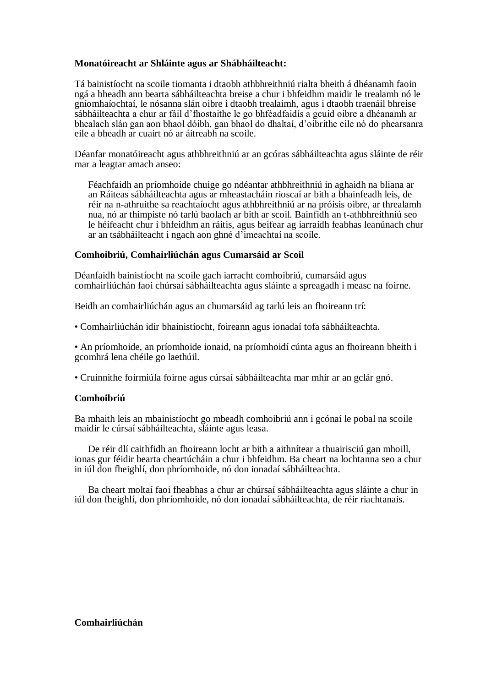### **Monatóireacht ar Shláinte agus ar Shábháilteacht:**

Tá bainistíocht na scoile tiomanta i dtaobh athbhreithniú rialta bheith á dhéanamh faoin ngá a bheadh ann bearta sábháilteachta breise a chur i bhfeidhm maidir le trealamh nó le gníomhaíochtaí, le nósanna slán oibre i dtaobh trealaimh, agus i dtaobh traenáil bhreise sábháilteachta a chur ar fáil d'fhostaithe le go bhféadfaidís a gcuid oibre a dhéanamh ar bhealach slán gan aon bhaol dóibh, gan bhaol do dhaltaí, d'oibrithe eile nó do phearsanra eile a bheadh ar cuairt nó ar áitreabh na scoile.

Déanfar monatóireacht agus athbhreithniú ar an gcóras sábháilteachta agus sláinte de réir mar a leagtar amach anseo:

Féachfaidh an príomhoide chuige go ndéantar athbhreithniú in aghaidh na bliana ar an Ráiteas sábháilteachta agus ar mheastacháin rioscaí ar bith a bhainfeadh leis, de réir na n-athruithe sa reachtaíocht agus athbhreithniú ar na próisis oibre, ar threalamh nua, nó ar thimpiste nó tarlú baolach ar bith ar scoil. Bainfidh an t-athbhreithniú seo le héifeacht chur i bhfeidhm an ráitis, agus beifear ag iarraidh feabhas leanúnach chur ar an tsábháilteacht i ngach aon ghné d'imeachtaí na scoile.

#### **Comhoibriú, Comhairliúchán agus Cumarsáid ar Scoil**

Déanfaidh bainistíocht na scoile gach iarracht comhoibriú, cumarsáid agus comhairliúchán faoi chúrsaí sábháilteachta agus sláinte a spreagadh i measc na foirne.

Beidh an comhairliúchán agus an chumarsáid ag tarlú leis an fhoireann trí:

• Comhairliúchán idir bhainistíocht, foireann agus ionadaí tofa sábháilteachta.

• An príomhoide, an príomhoide ionaid, na príomhoidí cúnta agus an fhoireann bheith i gcomhrá lena chéile go laethúil.

• Cruinnithe foirmiúla foirne agus cúrsaí sábháilteachta mar mhír ar an gclár gnó.

#### **Comhoibriú**

Ba mhaith leis an mbainistíocht go mbeadh comhoibriú ann i gcónaí le pobal na scoile maidir le cúrsaí sábháilteachta, sláinte agus leasa.

De réir dlí caithfidh an fhoireann locht ar bith a aithnítear a thuairisciú gan mhoill, ionas gur féidir bearta cheartúcháin a chur i bhfeidhm. Ba cheart na lochtanna seo a chur in iúl don fheighlí, don phríomhoide, nó don ionadaí sábháilteachta.

Ba cheart moltaí faoi fheabhas a chur ar chúrsaí sábháilteachta agus sláinte a chur in iúl don fheighlí, don phríomhoide, nó don ionadaí sábháilteachta, de réir riachtanais.

### **Comhairliúchán**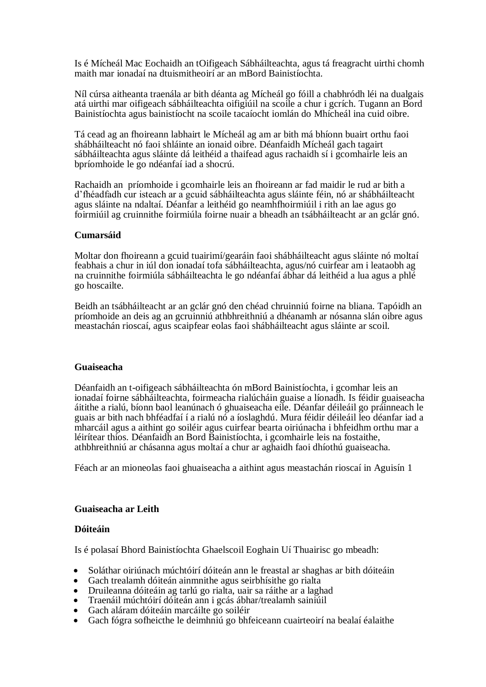Is é Mícheál Mac Eochaidh an tOifigeach Sábháilteachta, agus tá freagracht uirthi chomh maith mar ionadaí na dtuismitheoirí ar an mBord Bainistíochta.

Níl cúrsa aitheanta traenála ar bith déanta ag Mícheál go fóill a chabhródh léi na dualgais atá uirthi mar oifigeach sábháilteachta oifigiúil na scoile a chur i gcrích. Tugann an Bord Bainistíochta agus bainistíocht na scoile tacaíocht iomlán do Mhícheál ina cuid oibre.

Tá cead ag an fhoireann labhairt le Mícheál ag am ar bith má bhíonn buairt orthu faoi shábháilteacht nó faoi shláinte an ionaid oibre. Déanfaidh Mícheál gach tagairt sábháilteachta agus sláinte dá leithéid a thaifead agus rachaidh sí i gcomhairle leis an bpríomhoide le go ndéanfaí iad a shocrú.

Rachaidh an príomhoide i gcomhairle leis an fhoireann ar fad maidir le rud ar bith a d'fhéadfadh cur isteach ar a gcuid sábháilteachta agus sláinte féin, nó ar shábháilteacht agus sláinte na ndaltaí. Déanfar a leithéid go neamhfhoirmiúil i rith an lae agus go foirmiúil ag cruinnithe foirmiúla foirne nuair a bheadh an tsábháilteacht ar an gclár gnó.

### **Cumarsáid**

Moltar don fhoireann a gcuid tuairimí/gearáin faoi shábháilteacht agus sláinte nó moltaí feabhais a chur in iúl don ionadaí tofa sábháilteachta, agus/nó cuirfear am i leataobh ag na cruinnithe foirmiúla sábháilteachta le go ndéanfaí ábhar dá leithéid a lua agus a phlé go hoscailte.

Beidh an tsábháilteacht ar an gclár gnó den chéad chruinniú foirne na bliana. Tapóidh an príomhoide an deis ag an gcruinniú athbhreithniú a dhéanamh ar nósanna slán oibre agus meastachán rioscaí, agus scaipfear eolas faoi shábháilteacht agus sláinte ar scoil.

#### **Guaiseacha**

Déanfaidh an t-oifigeach sábháilteachta ón mBord Bainistíochta, i gcomhar leis an ionadaí foirne sábháilteachta, foirmeacha rialúcháin guaise a líonadh. Is féidir guaiseacha áitithe a rialú, bíonn baol leanúnach ó ghuaiseacha eile. Déanfar déileáil go práinneach le guais ar bith nach bhféadfaí í a rialú nó a íoslaghdú. Mura féidir déileáil leo déanfar iad a mharcáil agus a aithint go soiléir agus cuirfear bearta oiriúnacha i bhfeidhm orthu mar a léirítear thíos. Déanfaidh an Bord Bainistíochta, i gcomhairle leis na fostaithe, athbhreithniú ar chásanna agus moltaí a chur ar aghaidh faoi dhíothú guaiseacha.

Féach ar an mioneolas faoi ghuaiseacha a aithint agus meastachán rioscaí in Aguisín 1

### **Guaiseacha ar Leith**

#### **Dóiteáin**

Is é polasaí Bhord Bainistíochta Ghaelscoil Eoghain Uí Thuairisc go mbeadh:

- Soláthar oiriúnach múchtóirí dóiteán ann le freastal ar shaghas ar bith dóiteáin<br>• Gach trealamh dóiteán ainmnithe agus seirbhísithe go rialta
- Gach trealamh dóiteán ainmnithe agus seirbhísithe go rialta<br>• Druileanna dóiteáin ag tarlú go rialta uair sa ráithe ar a laob
- Druileanna dóiteáin ag tarlú go rialta, uair sa ráithe ar a laghad
- Traenáil múchtóirí dóiteán ann i gcás ábhar/trealamh sainiúil
- Gach aláram dóiteáin marcáilte go soiléir
- Gach fógra sofheicthe le deimhniú go bhfeiceann cuairteoirí na bealaí éalaithe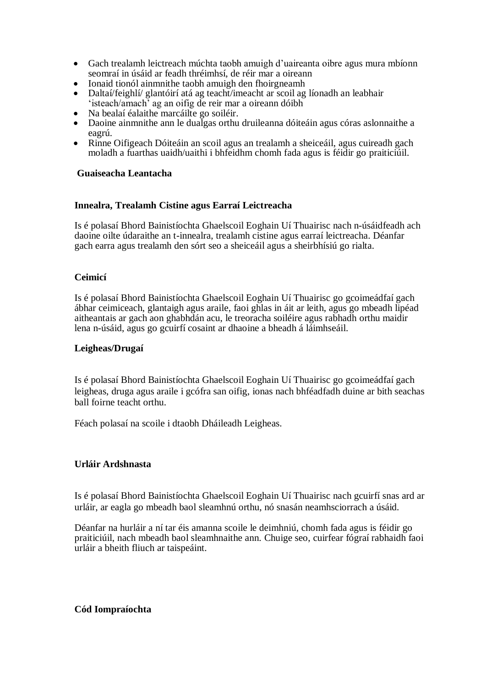- Gach trealamh leictreach múchta taobh amuigh d'uaireanta oibre agus mura mbíonn seomraí in úsáid ar feadh thréimhsí, de réir mar a oireann
- Ionaid tionól ainmnithe taobh amuigh den fhoirgneamh
- Daltaí/feighlí/ glantóirí atá ag teacht/imeacht ar scoil ag líonadh an leabhair 'isteach/amach' ag an oifig de reir mar a oireann dóibh
- Na bealaí éalaithe marcáilte go soiléir.
- Daoine ainmnithe ann le dualgas orthu druileanna dóiteáin agus córas aslonnaithe a eagrú.
- Rinne Oifigeach Dóiteáin an scoil agus an trealamh a sheiceáil, agus cuireadh gach moladh a fuarthas uaidh/uaithi i bhfeidhm chomh fada agus is féidir go praiticiúil.

#### **Guaiseacha Leantacha**

#### **Innealra, Trealamh Cistine agus Earraí Leictreacha**

Is é polasaí Bhord Bainistíochta Ghaelscoil Eoghain Uí Thuairisc nach n-úsáidfeadh ach daoine oilte údaraithe an t-innealra, trealamh cistine agus earraí leictreacha. Déanfar gach earra agus trealamh den sórt seo a sheiceáil agus a sheirbhísiú go rialta.

### **Ceimicí**

Is é polasaí Bhord Bainistíochta Ghaelscoil Eoghain Uí Thuairisc go gcoimeádfaí gach ábhar ceimiceach, glantaigh agus araile, faoi ghlas in áit ar leith, agus go mbeadh lipéad aitheantais ar gach aon ghabhdán acu, le treoracha soiléire agus rabhadh orthu maidir lena n-úsáid, agus go gcuirfí cosaint ar dhaoine a bheadh á láimhseáil.

#### **Leigheas/Drugaí**

Is é polasaí Bhord Bainistíochta Ghaelscoil Eoghain Uí Thuairisc go gcoimeádfaí gach leigheas, druga agus araile i gcófra san oifig, ionas nach bhféadfadh duine ar bith seachas ball foirne teacht orthu.

Féach polasaí na scoile i dtaobh Dháileadh Leigheas.

### **Urláir Ardshnasta**

Is é polasaí Bhord Bainistíochta Ghaelscoil Eoghain Uí Thuairisc nach gcuirfí snas ard ar urláir, ar eagla go mbeadh baol sleamhnú orthu, nó snasán neamhsciorrach a úsáid.

Déanfar na hurláir a ní tar éis amanna scoile le deimhniú, chomh fada agus is féidir go praiticiúil, nach mbeadh baol sleamhnaithe ann. Chuige seo, cuirfear fógraí rabhaidh faoi urláir a bheith fliuch ar taispeáint.

#### **Cód Iompraíochta**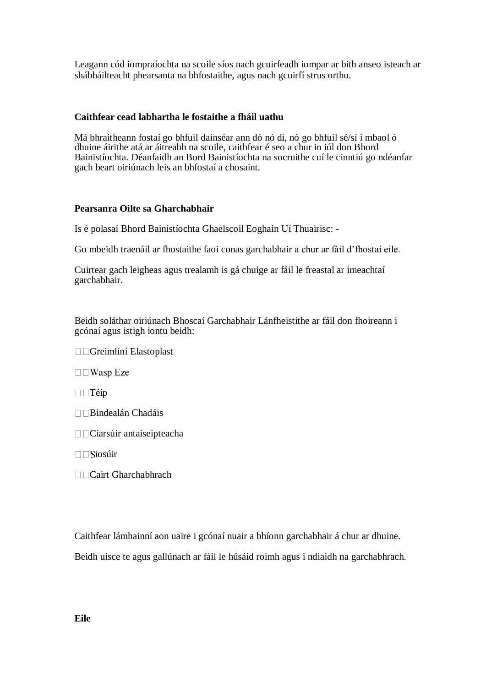Leagann cód iompraíochta na scoile síos nach gcuirfeadh iompar ar bith anseo isteach ar shábháilteacht phearsanta na bhfostaithe, agus nach gcuirfí strus orthu.

## **Caithfear cead labhartha le fostaithe a fháil uathu**

Má bhraitheann fostaí go bhfuil dainséar ann dó nó di, nó go bhfuil sé/sí i mbaol ó dhuine áirithe atá ar áitreabh na scoile, caithfear é seo a chur in iúl don Bhord Bainistíochta. Déanfaidh an Bord Bainistíochta na socruithe cuí le cinntiú go ndéanfar gach beart oiriúnach leis an bhfostaí a chosaint.

### **Pearsanra Oilte sa Gharchabhair**

Is é polasaí Bhord Bainistíochta Ghaelscoil Eoghain Uí Thuairisc: -

Go mbeidh traenáil ar fhostaithe faoi conas garchabhair a chur ar fáil d'fhostaí eile.

Cuirtear gach leigheas agus trealamh is gá chuige ar fáil le freastal ar imeachtaí garchabhair.

Beidh soláthar oiriúnach Bhoscaí Garchabhair Lánfheistithe ar fáil don fhoireann i gcónaí agus istigh iontu beidh:

Greimlíní Elastoplast

 $\Box$  Wasp Eze

 $\square$   $\square$   $\Upsilon$   $\leftrightarrow$ 

- Bindealán Chadáis
- Ciarsúir antaiseipteacha
- $\Box$ Siosúir
- Cairt Gharchabhrach

Caithfear lámhainní aon uaire i gcónaí nuair a bhíonn garchabhair á chur ar dhuine.

Beidh uisce te agus gallúnach ar fáil le húsáid roimh agus i ndiaidh na garchabhrach.